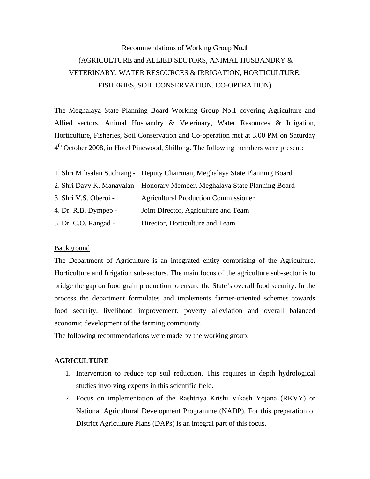# Recommendations of Working Group **No.1** (AGRICULTURE and ALLIED SECTORS, ANIMAL HUSBANDRY & VETERINARY, WATER RESOURCES & IRRIGATION, HORTICULTURE, FISHERIES, SOIL CONSERVATION, CO-OPERATION)

The Meghalaya State Planning Board Working Group No.1 covering Agriculture and Allied sectors, Animal Husbandry & Veterinary, Water Resources & Irrigation, Horticulture, Fisheries, Soil Conservation and Co-operation met at 3.00 PM on Saturday 4th October 2008, in Hotel Pinewood, Shillong. The following members were present:

|                       | 1. Shri Mihsalan Suchiang - Deputy Chairman, Meghalaya State Planning Board |
|-----------------------|-----------------------------------------------------------------------------|
|                       | 2. Shri Davy K. Manavalan - Honorary Member, Meghalaya State Planning Board |
| 3. Shri V.S. Oberoi - | <b>Agricultural Production Commissioner</b>                                 |
| 4. Dr. R.B. Dympep -  | Joint Director, Agriculture and Team                                        |
| 5. Dr. C.O. Rangad -  | Director, Horticulture and Team                                             |

#### Background

The Department of Agriculture is an integrated entity comprising of the Agriculture, Horticulture and Irrigation sub-sectors. The main focus of the agriculture sub-sector is to bridge the gap on food grain production to ensure the State's overall food security. In the process the department formulates and implements farmer-oriented schemes towards food security, livelihood improvement, poverty alleviation and overall balanced economic development of the farming community.

The following recommendations were made by the working group:

#### **AGRICULTURE**

- 1. Intervention to reduce top soil reduction. This requires in depth hydrological studies involving experts in this scientific field.
- 2. Focus on implementation of the Rashtriya Krishi Vikash Yojana (RKVY) or National Agricultural Development Programme (NADP). For this preparation of District Agriculture Plans (DAPs) is an integral part of this focus.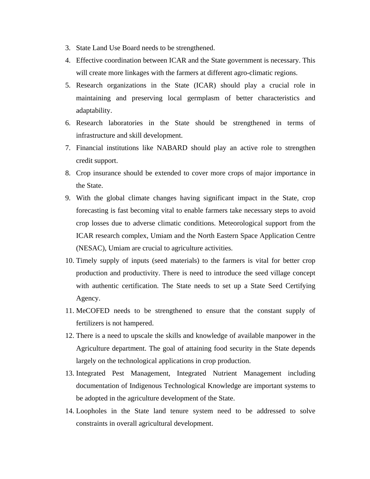- 3. State Land Use Board needs to be strengthened.
- 4. Effective coordination between ICAR and the State government is necessary. This will create more linkages with the farmers at different agro-climatic regions.
- 5. Research organizations in the State (ICAR) should play a crucial role in maintaining and preserving local germplasm of better characteristics and adaptability.
- 6. Research laboratories in the State should be strengthened in terms of infrastructure and skill development.
- 7. Financial institutions like NABARD should play an active role to strengthen credit support.
- 8. Crop insurance should be extended to cover more crops of major importance in the State.
- 9. With the global climate changes having significant impact in the State, crop forecasting is fast becoming vital to enable farmers take necessary steps to avoid crop losses due to adverse climatic conditions. Meteorological support from the ICAR research complex, Umiam and the North Eastern Space Application Centre (NESAC), Umiam are crucial to agriculture activities.
- 10. Timely supply of inputs (seed materials) to the farmers is vital for better crop production and productivity. There is need to introduce the seed village concept with authentic certification. The State needs to set up a State Seed Certifying Agency.
- 11. MeCOFED needs to be strengthened to ensure that the constant supply of fertilizers is not hampered.
- 12. There is a need to upscale the skills and knowledge of available manpower in the Agriculture department. The goal of attaining food security in the State depends largely on the technological applications in crop production.
- 13. Integrated Pest Management, Integrated Nutrient Management including documentation of Indigenous Technological Knowledge are important systems to be adopted in the agriculture development of the State.
- 14. Loopholes in the State land tenure system need to be addressed to solve constraints in overall agricultural development.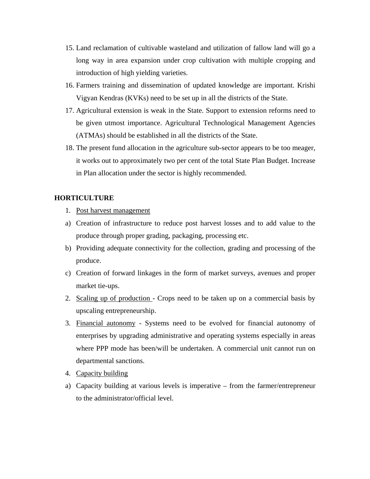- 15. Land reclamation of cultivable wasteland and utilization of fallow land will go a long way in area expansion under crop cultivation with multiple cropping and introduction of high yielding varieties.
- 16. Farmers training and dissemination of updated knowledge are important. Krishi Vigyan Kendras (KVKs) need to be set up in all the districts of the State.
- 17. Agricultural extension is weak in the State. Support to extension reforms need to be given utmost importance. Agricultural Technological Management Agencies (ATMAs) should be established in all the districts of the State.
- 18. The present fund allocation in the agriculture sub-sector appears to be too meager, it works out to approximately two per cent of the total State Plan Budget. Increase in Plan allocation under the sector is highly recommended.

## **HORTICULTURE**

- 1. Post harvest management
- a) Creation of infrastructure to reduce post harvest losses and to add value to the produce through proper grading, packaging, processing etc.
- b) Providing adequate connectivity for the collection, grading and processing of the produce.
- c) Creation of forward linkages in the form of market surveys, avenues and proper market tie-ups.
- 2. Scaling up of production Crops need to be taken up on a commercial basis by upscaling entrepreneurship.
- 3. Financial autonomy Systems need to be evolved for financial autonomy of enterprises by upgrading administrative and operating systems especially in areas where PPP mode has been/will be undertaken. A commercial unit cannot run on departmental sanctions.
- 4. Capacity building
- a) Capacity building at various levels is imperative from the farmer/entrepreneur to the administrator/official level.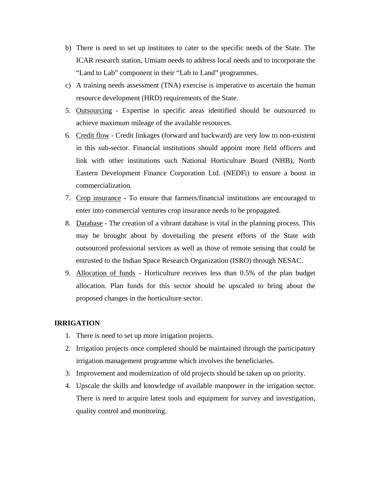- b) There is need to set up institutes to cater to the specific needs of the State. The ICAR research station, Umiam needs to address local needs and to incorporate the "Land to Lab" component in their "Lab to Land" programmes.
- c) A training needs assessment (TNA) exercise is imperative to ascertain the human resource development (HRD) requirements of the State.
- 5. Outsourcing Expertise in specific areas identified should be outsourced to achieve maximum mileage of the available resources.
- 6. Credit flow Credit linkages (forward and backward) are very low to non-existent in this sub-sector. Financial institutions should appoint more field officers and link with other institutions such National Horticulture Board (NHB), North Eastern Development Finance Corporation Ltd. (NEDFi) to ensure a boost in commercialization.
- 7. Crop insurance To ensure that farmers/financial institutions are encouraged to enter into commercial ventures crop insurance needs to be propagated.
- 8. Database The creation of a vibrant database is vital in the planning process. This may be brought about by dovetailing the present efforts of the State with outsourced professional services as well as those of remote sensing that could be entrusted to the Indian Space Research Organization (ISRO) through NESAC.
- 9. Allocation of funds Horticulture receives less than 0.5% of the plan budget allocation. Plan funds for this sector should be upscaled to bring about the proposed changes in the horticulture sector.

## **IRRIGATION**

- 1. There is need to set up more irrigation projects.
- 2. Irrigation projects once completed should be maintained through the participatory irrigation management programme which involves the beneficiaries.
- 3. Improvement and modernization of old projects should be taken up on priority.
- 4. Upscale the skills and knowledge of available manpower in the irrigation sector. There is need to acquire latest tools and equipment for survey and investigation, quality control and monitoring.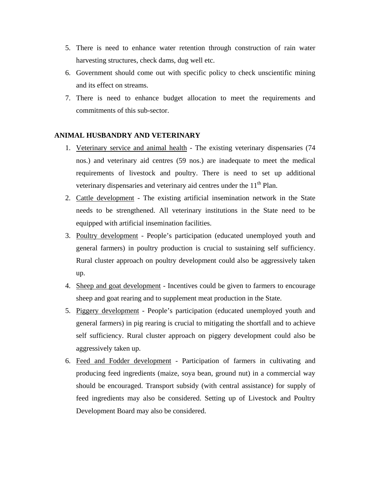- 5. There is need to enhance water retention through construction of rain water harvesting structures, check dams, dug well etc.
- 6. Government should come out with specific policy to check unscientific mining and its effect on streams.
- 7. There is need to enhance budget allocation to meet the requirements and commitments of this sub-sector.

## **ANIMAL HUSBANDRY AND VETERINARY**

- 1. Veterinary service and animal health The existing veterinary dispensaries (74 nos.) and veterinary aid centres (59 nos.) are inadequate to meet the medical requirements of livestock and poultry. There is need to set up additional veterinary dispensaries and veterinary aid centres under the 11<sup>th</sup> Plan.
- 2. Cattle development The existing artificial insemination network in the State needs to be strengthened. All veterinary institutions in the State need to be equipped with artificial insemination facilities.
- 3. Poultry development People's participation (educated unemployed youth and general farmers) in poultry production is crucial to sustaining self sufficiency. Rural cluster approach on poultry development could also be aggressively taken up.
- 4. Sheep and goat development Incentives could be given to farmers to encourage sheep and goat rearing and to supplement meat production in the State.
- 5. Piggery development People's participation (educated unemployed youth and general farmers) in pig rearing is crucial to mitigating the shortfall and to achieve self sufficiency. Rural cluster approach on piggery development could also be aggressively taken up.
- 6. Feed and Fodder development Participation of farmers in cultivating and producing feed ingredients (maize, soya bean, ground nut) in a commercial way should be encouraged. Transport subsidy (with central assistance) for supply of feed ingredients may also be considered. Setting up of Livestock and Poultry Development Board may also be considered.